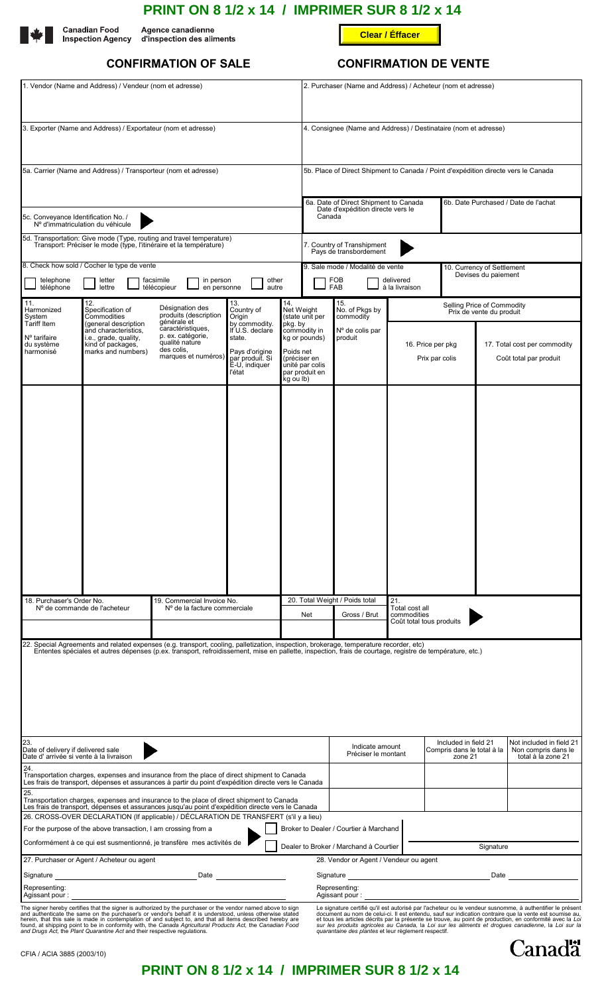|                      | <b>PRINT ON 8 1/2 x 14 / IMPRIMER SUR 8 1/2 x 14</b>             |                        |  |
|----------------------|------------------------------------------------------------------|------------------------|--|
| <b>Canadian Food</b> | Agence canadienne<br>Inspection Agency d'inspection des aliments | <b>Clear / Éffacer</b> |  |



# **CONFIRMATION OF SALE CONFIRMATION DE VENTE**

| 1. Vendor (Name and Address) / Vendeur (nom et adresse)                                                                                                                                                                                                                              |                                                                                                                         |                                                                                                                                                                                                                                                                                                    |                                                                                                            |                                                                                    | 2. Purchaser (Name and Address) / Acheteur (nom et adresse)                                                                                                                                                                                                                      |                                                                                                                                           |                                                               |                                     |                                                                       |                                                                                                                                                                                                                                                                                                                                             |  |
|--------------------------------------------------------------------------------------------------------------------------------------------------------------------------------------------------------------------------------------------------------------------------------------|-------------------------------------------------------------------------------------------------------------------------|----------------------------------------------------------------------------------------------------------------------------------------------------------------------------------------------------------------------------------------------------------------------------------------------------|------------------------------------------------------------------------------------------------------------|------------------------------------------------------------------------------------|----------------------------------------------------------------------------------------------------------------------------------------------------------------------------------------------------------------------------------------------------------------------------------|-------------------------------------------------------------------------------------------------------------------------------------------|---------------------------------------------------------------|-------------------------------------|-----------------------------------------------------------------------|---------------------------------------------------------------------------------------------------------------------------------------------------------------------------------------------------------------------------------------------------------------------------------------------------------------------------------------------|--|
| 3. Exporter (Name and Address) / Exportateur (nom et adresse)                                                                                                                                                                                                                        |                                                                                                                         |                                                                                                                                                                                                                                                                                                    |                                                                                                            | 4. Consignee (Name and Address) / Destinataire (nom et adresse)                    |                                                                                                                                                                                                                                                                                  |                                                                                                                                           |                                                               |                                     |                                                                       |                                                                                                                                                                                                                                                                                                                                             |  |
| 5a. Carrier (Name and Address) / Transporteur (nom et adresse)                                                                                                                                                                                                                       |                                                                                                                         |                                                                                                                                                                                                                                                                                                    |                                                                                                            | 5b. Place of Direct Shipment to Canada / Point d'expédition directe vers le Canada |                                                                                                                                                                                                                                                                                  |                                                                                                                                           |                                                               |                                     |                                                                       |                                                                                                                                                                                                                                                                                                                                             |  |
| 5c. Conveyance Identification No. /<br>N° d'immatriculation du véhicule                                                                                                                                                                                                              |                                                                                                                         |                                                                                                                                                                                                                                                                                                    |                                                                                                            |                                                                                    | 6b. Date Purchased / Date de l'achat<br>6a. Date of Direct Shipment to Canada<br>Date d'expédition directe vers le<br>Canada                                                                                                                                                     |                                                                                                                                           |                                                               |                                     |                                                                       |                                                                                                                                                                                                                                                                                                                                             |  |
| 5d. Transportation: Give mode (Type, routing and travel temperature)<br>Transport: Préciser le mode (type, l'itinéraire et la température)                                                                                                                                           |                                                                                                                         |                                                                                                                                                                                                                                                                                                    |                                                                                                            |                                                                                    | 7. Country of Transhipment<br>Pays de transbordement                                                                                                                                                                                                                             |                                                                                                                                           |                                                               |                                     |                                                                       |                                                                                                                                                                                                                                                                                                                                             |  |
| 8. Check how sold / Cocher le type de vente<br>telephone<br>facsimile<br>in person<br>other<br>letter<br>téléphone<br>lettre<br>télécopieur<br>en personne<br>autre                                                                                                                  |                                                                                                                         |                                                                                                                                                                                                                                                                                                    |                                                                                                            |                                                                                    |                                                                                                                                                                                                                                                                                  | 9. Sale mode / Modalité de vente<br>10. Currency of Settlement<br>Devises du paiement<br>FOB<br>delivered<br><b>FAB</b><br>à la livraison |                                                               |                                     |                                                                       |                                                                                                                                                                                                                                                                                                                                             |  |
| 11.<br>Harmonized<br>System                                                                                                                                                                                                                                                          | 12.<br>Désignation des<br>Specification of<br>produits (description<br>Commodities                                      | 13.<br>Country of<br>Origin                                                                                                                                                                                                                                                                        | 14.<br>Net Weight<br>(state unit per                                                                       |                                                                                    | 15.<br>No. of Pkgs by<br>commodity                                                                                                                                                                                                                                               | Selling Price of Commodity<br>Prix de vente du produit                                                                                    |                                                               |                                     |                                                                       |                                                                                                                                                                                                                                                                                                                                             |  |
| <b>Tariff Item</b><br>N° tarifaire<br>du système<br>harmonisé                                                                                                                                                                                                                        | (general description<br>and characteristics,<br>i.e., grade, quality,<br>kind of packages,<br>marks and numbers)        | générale et<br>caractéristiques,<br>p. ex. catégorie,<br>qualité nature<br>des colis,<br>marques et numéros)                                                                                                                                                                                       | by commodity.<br>If U.S. declare<br>state.<br>Pays d'origine<br>par produit. Si<br>É-U, indiquer<br>l'état | pkg. by<br>Poids net<br>kg ou lb)                                                  | commodity in<br>kg or pounds)<br>(préciser en<br>unité par colis<br>par produit en                                                                                                                                                                                               | Nº de colis par<br>produit                                                                                                                |                                                               | 16. Price per pkg<br>Prix par colis | 17. Total cost per commodity<br>Coût total par produit                |                                                                                                                                                                                                                                                                                                                                             |  |
|                                                                                                                                                                                                                                                                                      |                                                                                                                         |                                                                                                                                                                                                                                                                                                    |                                                                                                            |                                                                                    |                                                                                                                                                                                                                                                                                  | 20. Total Weight / Poids total                                                                                                            | 21.                                                           |                                     |                                                                       |                                                                                                                                                                                                                                                                                                                                             |  |
|                                                                                                                                                                                                                                                                                      | 18. Purchaser's Order No.<br>19. Commercial Invoice No.<br>Nº de commande de l'acheteur<br>Nº de la facture commerciale |                                                                                                                                                                                                                                                                                                    |                                                                                                            |                                                                                    | Net                                                                                                                                                                                                                                                                              | Total cost all<br>commodities<br>Gross / Brut<br>Coût total tous produits                                                                 |                                                               |                                     |                                                                       |                                                                                                                                                                                                                                                                                                                                             |  |
|                                                                                                                                                                                                                                                                                      |                                                                                                                         | 22. Special Agreements and related expenses (e.g. transport, cooling, palletization, inspection, brokerage, temperature recorder, etc)<br>Ententes spéciales et autres dépenses (p.ex. transport, refroidissement, mise en pallette, inspection, frais de courtage, registre de température, etc.) |                                                                                                            |                                                                                    |                                                                                                                                                                                                                                                                                  |                                                                                                                                           |                                                               |                                     |                                                                       |                                                                                                                                                                                                                                                                                                                                             |  |
| 23.<br>Date of delivery if delivered sale<br>Date d'arrivée si vente à la livraison                                                                                                                                                                                                  |                                                                                                                         |                                                                                                                                                                                                                                                                                                    |                                                                                                            |                                                                                    |                                                                                                                                                                                                                                                                                  | Indicate amount<br>Préciser le montant                                                                                                    | Included in field 21<br>Compris dans le total à la<br>zone 21 |                                     | Not included in field 21<br>Non compris dans le<br>total à la zone 21 |                                                                                                                                                                                                                                                                                                                                             |  |
| 24.<br>25.                                                                                                                                                                                                                                                                           |                                                                                                                         | Transportation charges, expenses and insurance from the place of direct shipment to Canada<br>Les frais de transport, dépenses et assurances à partir du point d'expédition directe vers le Canada                                                                                                 |                                                                                                            |                                                                                    |                                                                                                                                                                                                                                                                                  |                                                                                                                                           |                                                               |                                     |                                                                       |                                                                                                                                                                                                                                                                                                                                             |  |
|                                                                                                                                                                                                                                                                                      |                                                                                                                         | Transportation charges, expenses and insurance to the place of direct shipment to Canada<br>Les frais de transport, dépenses et assurances jusqu'au point d'expédition directe vers le Canada<br>26. CROSS-OVER DECLARATION (If applicable) / DÉCLARATION DE TRANSFERT (s'il y a lieu)             |                                                                                                            |                                                                                    |                                                                                                                                                                                                                                                                                  |                                                                                                                                           |                                                               |                                     |                                                                       |                                                                                                                                                                                                                                                                                                                                             |  |
|                                                                                                                                                                                                                                                                                      | For the purpose of the above transaction, I am crossing from a                                                          |                                                                                                                                                                                                                                                                                                    |                                                                                                            |                                                                                    |                                                                                                                                                                                                                                                                                  | Broker to Dealer / Courtier à Marchand                                                                                                    |                                                               |                                     |                                                                       |                                                                                                                                                                                                                                                                                                                                             |  |
|                                                                                                                                                                                                                                                                                      |                                                                                                                         | Conformément à ce qui est susmentionné, je transfère mes activités de                                                                                                                                                                                                                              |                                                                                                            |                                                                                    |                                                                                                                                                                                                                                                                                  | Dealer to Broker / Marchand à Courtier                                                                                                    |                                                               |                                     | Signature                                                             |                                                                                                                                                                                                                                                                                                                                             |  |
| 27. Purchaser or Agent / Acheteur ou agent<br>Signature Signature Signature Signature Signature Signature Signature Signature Signature Signature Signature Signature Signature Signature Signature Signature Signature Signature Signature Signature Signature Signature Si<br>Date |                                                                                                                         |                                                                                                                                                                                                                                                                                                    |                                                                                                            |                                                                                    | 28. Vendor or Agent / Vendeur ou agent<br>Signature experience and the state of the state of the state of the state of the state of the state of the state of the state of the state of the state of the state of the state of the state of the state of the state of th<br>Date |                                                                                                                                           |                                                               |                                     |                                                                       |                                                                                                                                                                                                                                                                                                                                             |  |
| Representing:<br>Agissant pour:                                                                                                                                                                                                                                                      |                                                                                                                         |                                                                                                                                                                                                                                                                                                    |                                                                                                            |                                                                                    | Representing:<br>Agissant pour:                                                                                                                                                                                                                                                  |                                                                                                                                           |                                                               |                                     |                                                                       |                                                                                                                                                                                                                                                                                                                                             |  |
|                                                                                                                                                                                                                                                                                      |                                                                                                                         | The signer hereby certifies that the signer is authorized by the purchaser or the vendor named above to sign<br>and authenticate the same on the purchaser's or vendor's behalf it is understood, unless otherwise stated<br>herein,                                                               |                                                                                                            |                                                                                    |                                                                                                                                                                                                                                                                                  | quarantaine des plantes et leur règlement respectif.                                                                                      |                                                               |                                     |                                                                       | Le signature certifié qu'il est autorisé par l'acheteur ou le vendeur susnomme, à authentifier le présent<br>de de la ventile de la ventile de la ventile de la ventile de la ventile de la ventile de la ventile de la ventile de la ventile de la ventile de la ventile de la ventile de la ventile de la ventile de la ventile de la ven |  |

CFIA / ACIA 3885 (2003/10)

# **PRINT ON 8 1/2 x 14 / IMPRIMER SUR 8 1/2 x 14**

Canadä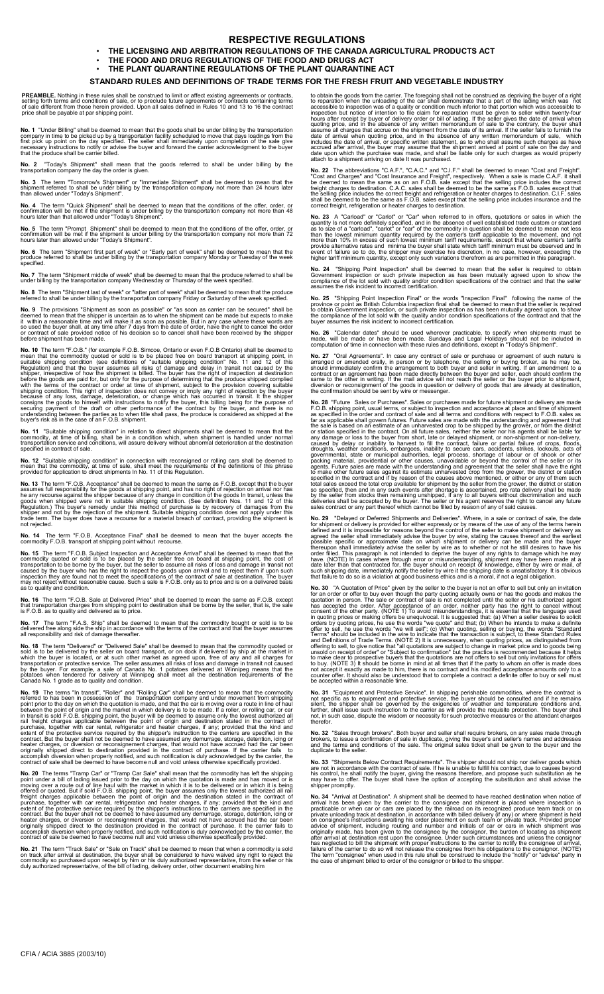# **RESPECTIVE REGULATIONS**

• **THE LICENSING AND ARBITRATION REGULATIONS OF THE CANADA AGRICULTURAL PRODUCTS ACT**

• **THE FOOD AND DRUG REGULATIONS OF THE FOOD AND DRUGS ACT** • **THE PLANT QUARANTINE REGULATIONS OF THE PLANT QUARANTINE ACT**

# **STANDARD RULES AND DEFINITIONS OF TRADE TERMS FOR THE FRESH FRUIT AND VEGETABLE INDUSTRY**

**PREAMBLE.** Nothing in these rules shall be construed to limit or affect existing agreements or contracts, setting forth terms and conditions of sale, or to preclude future agreements or contracts containing terms of sale

**No. 1** "Under Billing" shall be deemed to mean that the goods shall be under billing by the transportation company in time to be picked up by a transportation facility scheduled to move that like first pick up point on th

**No. 2** "Today's Shipment" shall mean that the goods referred to shall be under billing by the transportation company the day the order is given.

No. 3 The term "Tomorrow's Shipment" or "Immediate Shipment" shall be deemed to mean that the<br>shipment referred to shall be under billing by the transportation company not more than 24 hours later<br>than allowed under "Today

No. 4 The term "Quick Shipment" shall be deemed to mean that the conditions of the offer, order, or<br>confirmation will be met if the shipment is under billing by the transportation company not more than 48<br>hours later than

No. 5 The term "Prompt Shipment" shall be deemed to mean that the conditions of the offer, order, or<br>confirmation will be met if the shipment is under billing by the transportation company not more than 72<br>hours later than

**No. 6** The term "Shipment first part of week" or "Early part of week" shall be deemed to mean that the produce referred to shall be under billing by the transportation company Monday or Tuesday of the week specified.

**No. 7** The term "Shipment middle of week" shall be deemed to mean that the produce referred to shall be under billing by the transportation company Wednesday or Thursday of the week specified.

**No. 8** The term "Shipment last of week" or "latter part of week" shall be deemed to mean that the produce referred to shall be under billing by the transportation company Friday or Saturday of the week specified.

**No. 9** The provisions "Shipment as soon as possible" or "as soon as carrier can be secured" shall be deemed to mean that the shipper is uncertain as to when the shipment can be made but expects to make<br>it within a reasona

**No. 10** The term "F.O.B." (for example F.O.B. Simcoe, Ontario or even F.O.B Ontario) shall be deemed to mean that the commodity quoted or sold is to be placed free on board diarsport at shipping point, in such suitable sh

No. 11 "Suitable shipping condition" in relation to direct shipments shall be deemed to mean that the<br>commodity, at time of billing, shall be in a condition which, when shipment is handled under normal<br>transportation servi

No. 12 "Suitable shipping condition" in connection with reconsigned or rolling cars shall be deemed to<br>mean that the commodity, at time of sale, shall meet the requirements of the definitions of this phrase<br>provided for ap

**No. 13** The term "F.O.B. Acceptance" shall be deemed to mean the same as F.O.B. except that the buyer<br>assumes full responsibility for the goods at shipping point, and has no right of rejection on arrival nor has<br>he any re not rejected.

**No. 14** The term "F.O.B. Acceptance Final" shall be deemed to mean that the buyer accepts the commodity F.O.B. transport at shipping point without recourse.

**No. 15** The term "F.O.B. Subject Inspection and Acceptance Arrival" shall be deemed to mean that the control commodity quoted or sold is to be placed by the seller free on board at shipping point, the cost of transportati

No. 16 The term "F.O.B. Sale at Delivered Price" shall be deemed to mean the same as F.O.B. except<br>that transportation charges from shipping point to destination shall be borne by the seller, that is, the sale<br>is F.O.B. as

No. 17 The term "F.A.S. Ship" shall be deemed to mean that the commodity bought or sold is to be<br>delivered free along side the ship in accordance with the terms of the contract and that the buyer assumes<br>all responsibility

**No. 18** The term "Delivered" or "Delivered Sale" shall be deemed to mean that the commodity quoted or<br>sold is to be delivered by the seller on board transport, or on dock if delivered by ship at the market in<br>which the bu

**No. 19** The terms "In transit", "Roller" and "Rolling Car" shall be deemed to mean that the commodity<br>point prior to has been in possession of the transportation company and under movement from shipping<br>point prior to the

**No. 20** The terms "Tramp Car" or "Tramp Car Sale" shall mean that the commodity has left the shipping point under a bill of lading issued prior to the day on which the quotation is made and has moved or is moving over a r

No. 21 The term "Track Sale" or "Sale on Track" shall be deemed to mean that when a commodity is sold<br>on track after arrival at destination, the buyer shall be considered to have waived any right to reject the<br>commodity so

to obtain the goods from the carrier. The foregoing shall not be construed as depriving the buyer of a right<br>to reparation when the unloading of the car shall demonstrate that a part of the lading which was not<br>accessible

**No. 22** The abbreviations "C.A.F.", "C.A.C." and "C.I.F." shall be deemed to mean "Cost and Charges" and "Cost Insurance and Freight", respectively. When a sale is made C.A.F. it shall be deemed to mean the same as on an

**No. 23** A "Carload" or "Carlot" or "Car" when referred to in offers, quotations or sales in which the quantity is not more definitely specified, and in the absence of well establisbed trade custom or standard as to size o

No. 24 "Shipping Point Inspection" shall be deemed to mean that the seller is required to obtain Government inspection or such private inspection as has been mutually agreed upon to show the compliance of the lot sold with

**No. 25** "Shipping Point Inspection Final" or the words "Inspection Final" following the name of the province or point as British Columbia inspection final shall be deemed to mean that the seller is required to obtain Gove

No. 26 "Calendar dates" should be used wherever practicable, to specify when shipments must be<br>made, will be made or have been made. Sundays and Legal Holidays should not be included in<br>computation of time in connection wi

No. 27 "Oral Agreements". In case any contract of sale or purchase or agreement of such nature is<br>arranged or amended orally, in person or by telephone, the selling or buying broker, as he may be,<br>should immediately confir

**No. 28** "Future Sales or Purchases". Sales or purchases made for future shipment or delivery are made for the shipping point, usual terms, or subject to inspection and acceptance at place and time of shipment as specified

**No. 29** "Delayed or Deferred Shipments and Deliveries". Where, in a sale or contract of sale, the date of shipment or delivery is provided for either expressly or by means of the use of any of the terms herein ferred defi

**No. 30** "A Quotation of Price" given by the seller to the buyer is not an offer to sell but only an invitation of Frice Tom and the seller of the subsect of the seller of the seller of the seller of the select of sale or

No. 31 "Equipment and Protective Service". In shipping perishable commodities, where the contract is<br>not specific as to equipment and protective service, the buyer should be consulted and if he remains<br>silent, the shipper  $not, in$ 

No. 32 "Sales through brokers". Both buyer and seller shall require brokers, on any sales made through<br>brokers, to issue a confirmation of sale in duplicate, giving the buyer's and seller's names and addresses<br>and the term

No. 33 "Shipments Below Contract Requirements". The shipper should not ship nor deliver goods which<br>are not in accordance with the contract of sale. If he is unable to fulfill his contract, due to causes beyond<br>his control

No. 34 "Arrival at Destination". A shipment shall be deemed to have reached destination when notice of a<br>arrival has been given by the carrier to the consignee and shipment is placed where inspection is<br>practicable or when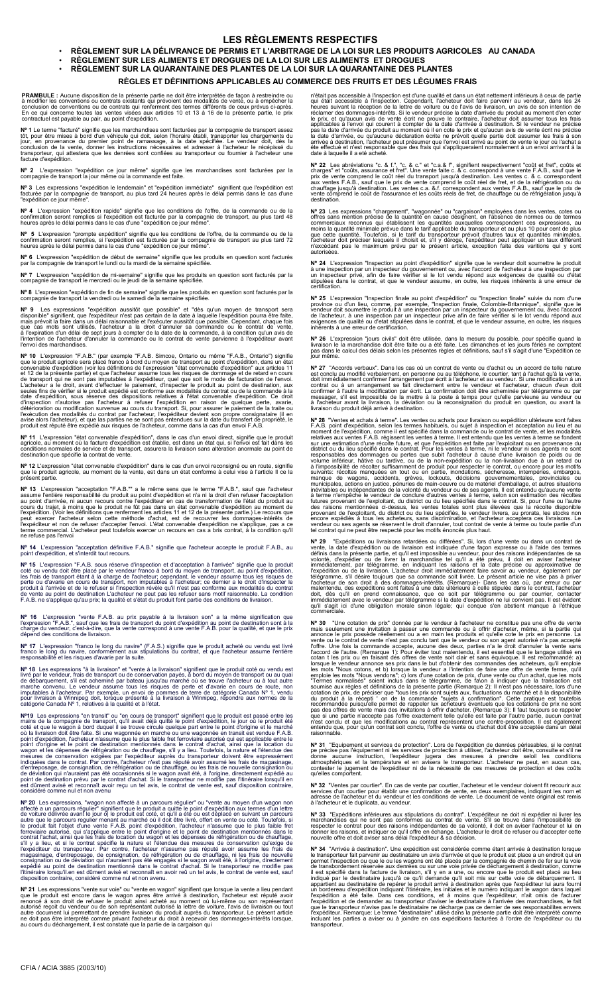### **LES RÈGLEMENTS RESPECTIFS**

**RÈGLEMENT SUR LA DÉLIVRANCE DE PERMIS ET L'ARBITRAGE DE LA LOI SUR LES PRODUITS AGRICOLES AU CANADA** •

**RÈGLEMENT SUR LES ALIMENTS ET DROGUES DE LA LOI SUR LES ALIMENTS ET DROGUES** •

# **RÈGLEMENT SUR LA QUARANTAINE DES PLANTES DE LA LOI SUR LA QUARANTAINE DES PLANTES**

#### **RÈGLES ET DÉFINITIONS APPLICABLES AU COMMERCE DES FRUITS ET DES LÉGUMES FRAIS**

**PRAMBULE :** Aucune disposition de la présente partie ne doit être interprétée de façon à restreindre ou<br>à modifier les conventions ou contrats existants qui prévoient des modalités de vente, ou à empêcher la<br>conclusion de

•

N° 1 Le terme "facturé" signifie que les marchandises sont facturées par la compagnie de transport assez<br>tôt, pour être mises à bord d'un véhicule qui d'oit, selon l'horaire établi, transporter les chargements du<br>jour, en

**Nº 2** L'expression "expédition ce jour même" signifie que les marchandises sont facturées par la compagnie de transport la jour même où la commande est faite.

**Nº 3** Les expressions "expédition le lendemain" et "expédition immédiate" signifient que l'expédition est<br>facturée par la compagnie de transport, au plus tard 24 heures après le délai permis dans le cas d'une<br>"expédition

Nº 4 L'expression "expédition rapide" signifie que les conditions de l'offre, de la commande ou de la<br>confirmation seront remplies si l'expédition est facturée par la compagnie de transport, au plus tard 48<br>heures après le

**Nº 5** L'expression "prompte expédition" signifie que les conditions de l'offre, de la commande ou de la<br>confirmation seront remplies, si l'expédition est facturée par la compagnie de transport au plus tard 72<br>heures après

**Nº 6** L'expression "expédition de début de semaine" signifie que les produits en question sont facturés par la compagnie de transport le lundi ou la mardi de la semaine spécifiée.

**Nº 7** L'expression "expédition de mi-semaine" signifie que les produits en question sont facturés par la compagnie de transport le mercredi ou le jeudi de la semaine spécifiée.

**Nº 8** L'expression "expédition de fin de semaine" signifie que les produits en question sont facturés par la compagnie de transport la vendredi ou le samedi de la semaine spécifiée.

N° 9 Les expressions "expédition aussitôt que possible" et "dés qu'un moyen de transport seraie, disponible" signifient, que l'expéditiour n'est pas certain de la date à laquelle l'expédition pourra être faite, mais prévoi

N° 10 L'expression "F.A.B." (par exemple "F.A.B. Simcoe, Ontario ou même "F.A.B., Ontario") signifie<br>que le produit agricole sera placé franco à bord du moyen de transport au point d'expédition, dans un état<br>convenable d'e

Nº 11 L'expression "état convenable d'expédition", dans le cas d'un envoi direct, signifie que le produit<br>agricole, au moment où la facture d'expédition est établie, est dans un état qui, si l'envoi est fait dans les<br>condi

**Nº 12** L'expression "état convenable d'expédition" dans le cas d'un envoi reconsigné ou en route, signifie<br>que le produit agricole, au moment de la vente, est dans un état conforme à celui vise à l'article II ce la<br>présen

N° 13 L'expression "acceptation "F.A.B."" a le même sens que le terme "F.A.B.", sauf que l'acheteur<br>assume l'entière responsabilité du produit au point d'expédition et n'a ni la droit d'en refuser l'acceptation<br>au point d'

**Nº 14** L'expression "acceptation définitive F.A.B." signifie que l'acheteur accepte le produit F.A.B., au point d'expédition, et s'interdit tout recours.

N° 15 L'expression "F.A.B. sous réserve d'inspection et d'acceptation à l'arrivée" signifie que la produit<br>coté ou vendu doit être placé par le vendeur franco à bord du moyen de transport, au point d'expedition,<br>les frais

Nº 16 L'expression "vente F.A.B. au prix payable à la livraison son" a la même signification que<br>l'expression "F.A.B.", sauf que les frais de transport du point d'expédition au point de destination sont à la<br>charge du vend

**Nº 17** L'expression "franco le long du navire" (F.A.S.) signifie que le produit acheté ou vendu est livré<br>franco le long du navire, conformément aux stipulations du contrat, et que l'acheteur assume l'entière<br>responsabili

N° 18 Les expressions "à la livraison" et "vente à la livraison" signifient que le produit coté ou vendu est<br>livré par le vendeur, frais de transport ou de conservation payés, à bord du moyen de transport ou au quai<br>de déb

N<sup>24</sup>19 Les expressions "en transit" ou "en cours de transport" signifient que le produit est passé entre les<br>mains de la compagnie de transport, qu'il avait déjà quité le point d'expédition, le jour où le produit été<br>coté

Nº 20 Les expressions, "wagon non affecté à un parcours régulier" ou "vente au moyen d'un wagon non affecté à un parcours régulier" signifient que le produit a quite le point d'expédition aux termes d'un letter<br>de voiture

Nº 21 Les expressions "vente sur voie" ou "vente en wagon" signifient que lorsque la vente a lieu pendant que<br>que le produit est encore dans le wagon apres être arrivé à destination, l'acheteur est réputé avoir<br>renoncé à s

n'était pas accessible à l'inspection est d'une qualité et dans un état nettement inférieurs à ceux de partie<br>qui était accessible à l'inspection. Cependant, l'icheteur doit fraire parvenir au vendeur, dans les 24<br>heures s date à laquelle il a eté acheté.

**Nº 22** Les abréviations "c. & f.", "c. & c." et "c.a.& f", signifient respectivement "coût et fret", coûts et charges" et "coûts, assurance et fret". Une vente faite c. & c. correspond à une vente F.A.B., sauf que le prix<br>prix de vente comprend le coût réel du transport jusqu'à destination. Les ventes c. & c. correspondent<br>aux ven

N° 23 Les expressions "chargement", "wagonnée" ou "cargaison" employées dans les ventes, cotes ou offres sans mention précise de la quantité en cause désignent, en l'absence de normes ou de termes sons commerciaux reconnus

N° 24 L'expression "Inspection au point d'expédition" signifie que le vendeur doit soumettre le produit au<br>à une inspection par un inspecteur du gouvernement ou, avec l'accord de l'acheteur à une inspection par<br>stipulées d

N° 25 L'expression "Inspection finale au point d'expédition" ou "Inspection finale" suivie du nom d'une<br>province ou d'un lieu, comme, par exemple, "Inspection finale, Colombie-Britannique", signifie que le<br>vendeur doit sou

**Nº 26** L'expression "jours civils" doit être utilisée, dans la mesure du possible, pour spécifie quand la<br>livraison le la marchandise doit être faite ou a été faite. Les dimanches et les jours fériés ne comptent<br>pas dans

N° 27 "Accords verbaux". Dans les cas où un contrat de vente ou d'achat ou un accord de telle naturest conclu au modifié verbalement, en personne ou au téléphone, le courtier, tant à l'avente, dot immédiatement confirmer l

N<sup>P</sup> 28 "Ventes et achats à terme". Les ventes ou achats pour livraison ou expédition ultérieure sont faites acusas à terme, les ventes ou achats pour livraison ou expédition ultérieure sont faites sur vene estimation d'un

Nº 29 "Expéditions ou livraisons retardées ou différées". Si, lors d'une vente ou dans un contrat de définis dans la présente partie, et qu'il est impossible au vendeur, pour des raisons indépendantes de simes définis dans

N° 30 "Une cotation de prix" donnée par le vendeur à l'acheteur ne constitue pas une offre de vente mains suellement une invitation à passer une commande ou à offrir d'acheter, même, si la partie qui<br>en amonoce le prix pos

N° 31 "Equipement et services de protection". Lors de l'expédition de denrées périssables, si le contrat<br>pe précise pas l'équipement ni les services de protection à utiliser, l'acheteur doit être, consulte et s'il ne<br>donne

Nº 32 "Ventes par courtier". En cas de vente par courtier, l'acheteur et le vendeur doivent fit recourir aux<br>services d'un courtier pour établir une confirmation de vente, en deux exemplaires, indiquant les nom et<br>adresse

N° 33 "Expéditions inférieures aux stipulations du contrat". L'expéditeur ne doit ni expédier ni livrer les<br>marchandises qui ne sont pas conformes au contrat de vente. S'il se trouve dans l'impossibilité de<br>respecter le co

Nº 34 "Arrivée à destination". Une expédition est considérée comme étant arrivée à destination lorsque<br>le transporteur fait parvenir au destinataire un avis d'arrivée et que le produit est place a un endroit qui en<br>permet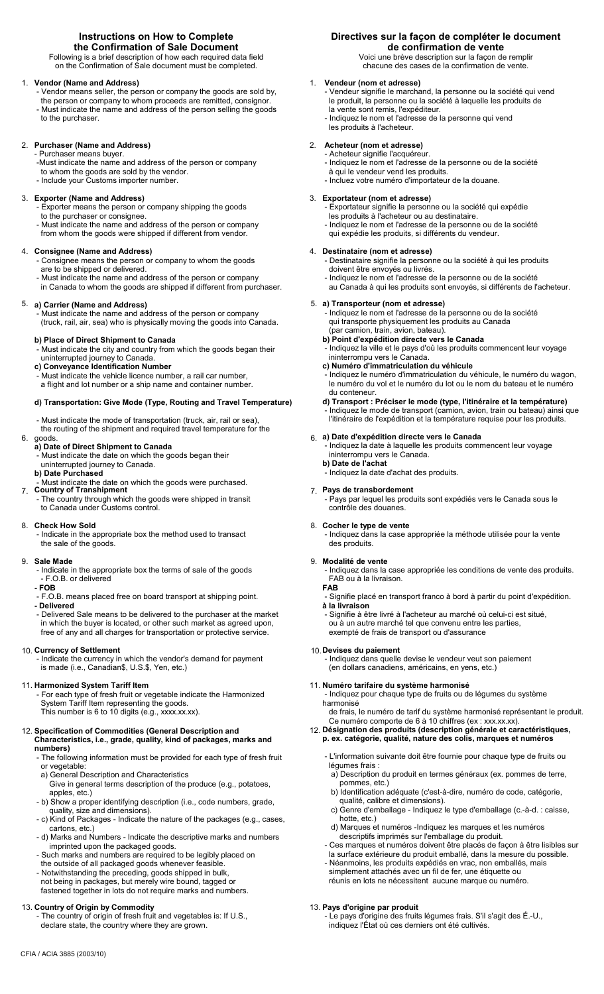# **Instructions on How to Complete the Confirmation of Sale Document**

Following is a brief description of how each required data field on the Confirmation of Sale document must be completed.

# **Vendor (Name and Address)** 1.

- Vendor means seller, the person or company the goods are sold by, the person or company to whom proceeds are remitted, consignor.
- Must indicate the name and address of the person selling the goods to the purchaser.

# **Purchaser (Name and Address)** 2.

- Purchaser means buyer.
- -Must indicate the name and address of the person or company to whom the goods are sold by the vendor.
- Include your Customs importer number.

# **Exporter (Name and Address)** 3.

- Exporter means the person or company shipping the goods
- to the purchaser or consignee. Must indicate the name and address of the person or company from whom the goods were shipped if different from vendor.

# **Consignee (Name and Address)** 4.

- Consignee means the person or company to whom the goods are to be shipped or delivered.
- Must indicate the name and address of the person or company
- in Canada to whom the goods are shipped if different from purchaser.

# **a) Carrier (Name and Address)** 5.

 - Must indicate the name and address of the person or company (truck, rail, air, sea) who is physically moving the goods into Canada.

# **b) Place of Direct Shipment to Canada**

- Must indicate the city and country from which the goods began their uninterrupted journey to Canada.
- **c) Conveyance Identification Number**
- Must indicate the vehicle licence number, a rail car number,
- a flight and lot number or a ship name and container number.

# **d) Transportation: Give Mode (Type, Routing and Travel Temperature)**

- Must indicate the mode of transportation (truck, air, rail or sea),
- the routing of the shipment and required travel temperature for the

#### goods. 6.

- **a) Date of Direct Shipment to Canada** - Must indicate the date on which the goods began their
- uninterrupted journey to Canada.
- **b) Date Purchased**
- Must indicate the date on which the goods were purchased.
- **Country of Transhipment** 7. - The country through which the goods were shipped in transit to Canada under Customs control.

# **Check How Sold** 8.

 - Indicate in the appropriate box the method used to transact the sale of the goods.

#### **Sale Made** 9.

- Indicate in the appropriate box the terms of sale of the goods - F.O.B. or delivered
- **FOB**
- F.O.B. means placed free on board transport at shipping point. **- Delivered**
- Delivered Sale means to be delivered to the purchaser at the market in which the buyer is located, or other such market as agreed upon, free of any and all charges for transportation or protective service.

### **Currency of Settlement** 10.

 - Indicate the currency in which the vendor's demand for payment is made (i.e., Canadian\$, U.S.\$, Yen, etc.)

#### **Harmonized System Tariff Item** 11.

 - For each type of fresh fruit or vegetable indicate the Harmonized System Tariff Item representing the goods. This number is 6 to 10 digits (e.g., xxxx.xx.xx).

# **Specification of Commodities (General Description and** 12. **Characteristics, i.e., grade, quality, kind of packages, marks and**

- **numbers)**
- The following information must be provided for each type of fresh fruit or vegetable:
- a) General Description and Characteristics
- Give in general terms description of the produce (e.g., potatoes, apples, etc.)
- b) Show a proper identifying description (i.e., code numbers, grade, quality, size and dimensions).
- c) Kind of Packages Indicate the nature of the packages (e.g., cases, cartons, etc.)
- d) Marks and Numbers Indicate the descriptive marks and numbers imprinted upon the packaged goods.
- Such marks and numbers are required to be legibly placed on the outside of all packaged goods whenever feasible.
- Notwithstanding the preceding, goods shipped in bulk, not being in packages, but merely wire bound, tagged or fastened together in lots do not require marks and numbers.

# 13. **Country of Origin by Commodity**

CFIA / ACIA 3885 (2003/10)

The country of origin of fresh fruit and vegetables is: If U.S., declare state, the country where they are grown.

# **Directives sur la façon de compléter le document de confirmation de vente**

Voici une brève description sur la façon de remplir chacune des cases de la confirmation de vente.

#### 1.  **Vendeur (nom et adresse)**

 - Vendeur signifie le marchand, la personne ou la société qui vend le produit, la personne ou la société à laquelle les produits de la vente sont remis, l'expéditeur. - Indiquez le nom et l'adresse de la personne qui vend les produits à l'acheteur.

# 2.  **Acheteur (nom et adresse)**

 - Acheteur signifie l'acquéreur. - Indiquez le nom et l'adresse de la personne ou de la société à qui le vendeur vend les produits.

- Incluez votre numéro d'importateur de la douane.

#### 3. **Exportateur (nom et adresse)**

 - Exportateur signifie la personne ou la société qui expédie les produits à l'acheteur ou au destinataire. - Indiquez le nom et l'adresse de la personne ou de la société qui expédie les produits, si différents du vendeur.

## 4. **Destinataire (nom et adresse)**

 - Destinataire signifie la personne ou la société à qui les produits doivent être envoyés ou livrés.

 - Indiquez le nom et l'adresse de la personne ou de la société au Canada à qui les produits sont envoyés, si différents de l'acheteur.

## **a) Transporteur (nom et adresse)** 5.

 - Indiquez le nom et l'adresse de la personne ou de la société qui transporte physiquement les produits au Canada (par camion, train, avion, bateau).

- **b) Point d'expédition directe vers le Canada**
- Indiquez la ville et le pays d'où les produits commencent leur voyage ininterrompu vers le Canada.
- **c) Numéro d'immatriculation du véhicule**
- Indiquez le numéro d'immatriculation du véhicule, le numéro du wagon, le numéro du vol et le numéro du lot ou le nom du bateau et le numéro du conteneur.
- **d) Transport : Préciser le mode (type, l'itinéraire et la température)** - Indiquez le mode de transport (camion, avion, train ou bateau) ainsi que l'itinéraire de l'expédition et la température requise pour les produits.

## **a) Date d'expédition directe vers le Canada** 6.

 - Indiquez la date à laquelle les produits commencent leur voyage ininterrompu vers le Canada.

**b) Date de l'achat** - Indiquez la date d'achat des produits.

**Pays de transbordement** 7. - Pays par lequel les produits sont expédiés vers le Canada sous le contrôle des douanes.

#### **Cocher le type de vente** 8.

 - Indiquez dans la case appropriée la méthode utilisée pour la vente des produits.

#### **Modalité de vente** 9.

 - Indiquez dans la case appropriée les conditions de vente des produits. FAB ou à la livraison.

- **FAB**
- Signifie placé en transport franco à bord à partir du point d'expédition. **à la livraison**

 - Signifie à être livré à l'acheteur au marché où celui-ci est situé, ou à un autre marché tel que convenu entre les parties, exempté de frais de transport ou d'assurance

#### **Devises du paiement** 10.

13. **Pays d'origine par produit**

 - Indiquez dans quelle devise le vendeur veut son paiement (en dollars canadiens, américains, en yens, etc.)

#### **Numéro tarifaire du système harmonisé** 11.

 - Indiquez pour chaque type de fruits ou de légumes du système harmonisé

 de frais, le numéro de tarif du système harmonisé représentant le produit. Ce numéro comporte de 6 à 10 chiffres (ex : xxx.xx.xx).

#### **Désignation des produits (description générale et caractéristiques, p. ex. catégorie, qualité, nature des colis, marques et numéros** 12.

- L'information suivante doit être fournie pour chaque type de fruits ou légumes frais :
- a) Description du produit en termes généraux (ex. pommes de terre, pommes, etc.)
- b) Identification adéquate (c'est-à-dire, numéro de code, catégorie, qualité, calibre et dimensions).
	- c) Genre d'emballage Indiquez le type d'emballage (c.-à-d. : caisse, hotte, etc.)
- d) Marques et numéros -Indiquez les marques et les numéros descriptifs imprimés sur l'emballage du produit.
- Ces marques et numéros doivent être placés de façon à être lisibles sur la surface extérieure du produit emballé, dans la mesure du possible.
- Néanmoins, les produits expédiés en vrac, non emballés, mais simplement attachés avec un fil de fer, une étiquette ou

- Le pays d'origine des fruits légumes frais. S'il s'agit des É.-U.,

indiquez l'État où ces derniers ont été cultivés.

réunis en lots ne nécessitent aucune marque ou numéro.